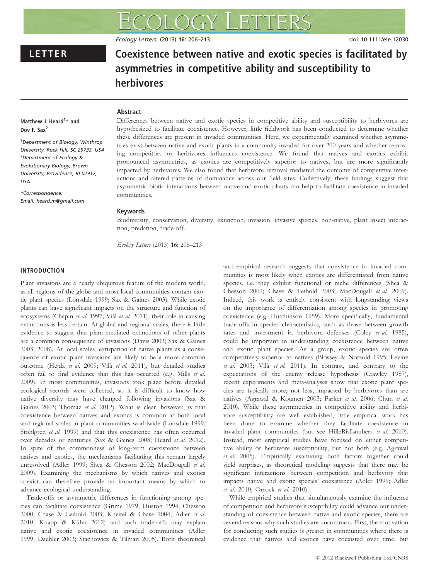# LETTER Coexistence between native and exotic species is facilitated by asymmetries in competitive ability and susceptibility to herbivores

Ecology Letters, (2013) 16: 206–213 doi: 10.1111/ele.12030

# Abstract

# Matthew J. Heard<sup>1</sup>\* and Dov F. Sax<sup>2</sup>

1 Department of Biology, Winthrop University, Rock Hill, SC 29733, USA 2 Department of Ecology & Evolutionary Biology, Brown University, Providence, RI 02912, USA

\*Correspondence: Email: heard.m@gmail.com Differences between native and exotic species in competitive ability and susceptibility to herbivores are hypothesized to facilitate coexistence. However, little fieldwork has been conducted to determine whether these differences are present in invaded communities. Here, we experimentally examined whether asymmetries exist between native and exotic plants in a community invaded for over 200 years and whether removing competitors or herbivores influences coexistence. We found that natives and exotics exhibit pronounced asymmetries, as exotics are competitively superior to natives, but are more significantly impacted by herbivores. We also found that herbivore removal mediated the outcome of competitive interactions and altered patterns of dominance across our field sites. Collectively, these findings suggest that asymmetric biotic interactions between native and exotic plants can help to facilitate coexistence in invaded communities.

# Keywords

Biodiversity, conservation, diversity, extinction, invasion, invasive species, non-native, plant insect interaction, predation, trade-off.

Ecology Letters (2013) 16: 206–213

# INTRODUCTION

Plant invasions are a nearly ubiquitous feature of the modern world, as all regions of the globe and most local communities contain exotic plant species (Lonsdale 1999; Sax & Gaines 2003). While exotic plants can have significant impacts on the structure and function of ecosystems (Chapin et al. 1997; Vilà et al. 2011), their role in causing extinctions is less certain. At global and regional scales, there is little evidence to suggest that plant-mediated extinctions of other plants are a common consequence of invasions (Davis 2003; Sax & Gaines 2003, 2008). At local scales, extirpation of native plants as a consequence of exotic plant invasions are likely to be a more common outcome (Hejda et al. 2009; Vilà et al. 2011), but detailed studies often fail to find evidence that this has occurred (e.g. Mills et al. 2009). In most communities, invasions took place before detailed ecological records were collected, so it is difficult to know how native diversity may have changed following invasions (Sax & Gaines 2003; Thomaz et al. 2012). What is clear, however, is that coexistence between natives and exotics is common at both local and regional scales in plant communities worldwide (Lonsdale 1999; Stohlgren et al. 1999) and that this coexistence has often occurred over decades or centuries (Sax & Gaines 2008; Heard et al. 2012). In spite of the commonness of long-term coexistence between natives and exotics, the mechanisms facilitating this remain largely unresolved (Adler 1999; Shea & Chesson 2002; MacDougall et al. 2009). Examining the mechanisms by which natives and exotics coexist can therefore provide an important means by which to advance ecological understanding.

Trade-offs or asymmetric differences in functioning among species can facilitate coexistence (Grime 1979; Huston 1994; Chesson 2000; Chase & Leibold 2003; Kneitel & Chase 2004; Adler et al. 2010; Knapp & Kühn 2012) and such trade-offs may explain native and exotic coexistence in invaded communities (Adler 1999; Daehler 2003; Stachowicz & Tilman 2005). Both theoretical

and empirical research suggests that coexistence in invaded communities is most likely when exotics are differentiated from native species, i.e. they exhibit functional or niche differences (Shea & Chesson 2002; Chase & Leibold 2003; MacDougall et al. 2009). Indeed, this work is entirely consistent with longstanding views on the importance of differentiation among species in promoting coexistence (e.g. Hutchinson 1959). More specifically, fundamental trade-offs in species characteristics, such as those between growth rates and investment in herbivore defenses (Coley et al. 1985), could be important in understanding coexistence between native and exotic plant species. As a group, exotic species are often competitively superior to natives (Blossey & Notzold 1995; Levine et al. 2003; Vilà et al. 2011). In contrast, and contrary to the expectations of the enemy release hypothesis (Crawley 1987), recent experiments and meta-analyses show that exotic plant species are typically more, not less, impacted by herbivores than are natives (Agrawal & Kotanen 2003; Parker et al. 2006; Chun et al. 2010). While these asymmetries in competitive ability and herbivore susceptibility are well established, little empirical work has been done to examine whether they facilitate coexistence in invaded plant communities (but see HilleRisLambers et al. 2010). Instead, most empirical studies have focused on either competitive ability or herbivore susceptibility, but not both (e.g. Agrawal et al. 2005). Empirically examining both factors together could yield surprises, as theoretical modeling suggests that there may be significant interactions between competition and herbivory that impacts native and exotic species' coexistence (Adler 1999; Adler et al. 2010; Orrock et al. 2010).

While empirical studies that simultaneously examine the influence of competition and herbivore susceptibility could advance our understanding of coexistence between native and exotic species, there are several reasons why such studies are uncommon. First, the motivation for conducting such studies is greater in communities where there is evidence that natives and exotics have coexisted over time, but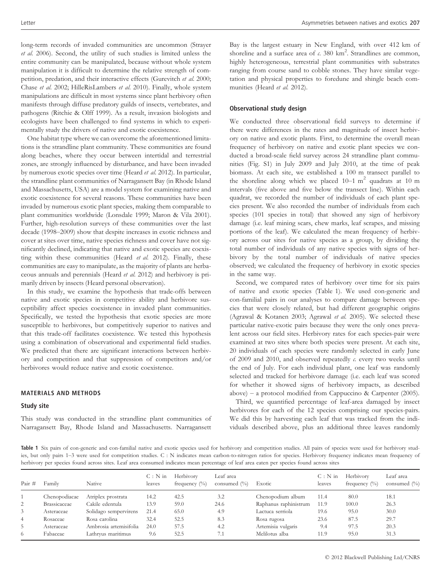long-term records of invaded communities are uncommon (Strayer et al. 2006). Second, the utility of such studies is limited unless the entire community can be manipulated, because without whole system manipulation it is difficult to determine the relative strength of competition, predation, and their interactive effects (Gurevitch et al. 2000; Chase et al. 2002; HilleRisLambers et al. 2010). Finally, whole system manipulations are difficult in most systems since plant herbivory often manifests through diffuse predatory guilds of insects, vertebrates, and pathogens (Ritchie & Olff 1999). As a result, invasion biologists and ecologists have been challenged to find systems in which to experimentally study the drivers of native and exotic coexistence.

One habitat type where we can overcome the aforementioned limitations is the strandline plant community. These communities are found along beaches, where they occur between intertidal and terrestrial zones, are strongly influenced by disturbance, and have been invaded by numerous exotic species over time (Heard et al. 2012). In particular, the strandline plant communities of Narragansett Bay (in Rhode Island and Massachusetts, USA) are a model system for examining native and exotic coexistence for several reasons. These communities have been invaded by numerous exotic plant species, making them comparable to plant communities worldwide (Lonsdale 1999; Maron & Vila 2001). Further, high-resolution surveys of these communities over the last decade (1998–2009) show that despite increases in exotic richness and cover at sites over time, native species richness and cover have not significantly declined, indicating that native and exotic species are coexisting within these communities (Heard et al. 2012). Finally, these communities are easy to manipulate, as the majority of plants are herbaceous annuals and perennials (Heard et al. 2012) and herbivory is primarily driven by insects (Heard personal observation).

In this study, we examine the hypothesis that trade-offs between native and exotic species in competitive ability and herbivore susceptibility affect species coexistence in invaded plant communities. Specifically, we tested the hypothesis that exotic species are more susceptible to herbivores, but competitively superior to natives and that this trade-off facilitates coexistence. We tested this hypothesis using a combination of observational and experimental field studies. We predicted that there are significant interactions between herbivory and competition and that suppression of competitors and/or herbivores would reduce native and exotic coexistence.

# MATERIALS AND METHODS

#### Study site

This study was conducted in the strandline plant communities of Narragansett Bay, Rhode Island and Massachusetts. Narragansett

Bay is the largest estuary in New England, with over 412 km of shoreline and a surface area of  $\alpha$ . 380 km<sup>2</sup>. Strandlines are common, highly heterogeneous, terrestrial plant communities with substrates ranging from course sand to cobble stones. They have similar vegetation and physical properties to foredune and shingle beach communities (Heard et al. 2012).

# Observational study design

We conducted three observational field surveys to determine if there were differences in the rates and magnitude of insect herbivory on native and exotic plants. First, to determine the overall mean frequency of herbivory on native and exotic plant species we conducted a broad-scale field survey across 24 strandline plant communities (Fig. S1) in July 2009 and July 2010, at the time of peak biomass. At each site, we established a 100 m transect parallel to the shoreline along which we placed  $10-1$  m<sup>2</sup> quadrats at 10 m intervals (five above and five below the transect line). Within each quadrat, we recorded the number of individuals of each plant species present. We also recorded the number of individuals from each species (101 species in total) that showed any sign of herbivory damage (i.e. leaf mining scars, chew marks, leaf scrapes, and missing portions of the leaf). We calculated the mean frequency of herbivory across our sites for native species as a group, by dividing the total number of individuals of any native species with signs of herbivory by the total number of individuals of native species observed; we calculated the frequency of herbivory in exotic species in the same way.

Second, we compared rates of herbivory over time for six pairs of native and exotic species (Table 1). We used con-generic and con-familial pairs in our analyses to compare damage between species that were closely related, but had different geographic origins (Agrawal & Kotanen 2003; Agrawal et al. 2005). We selected these particular native-exotic pairs because they were the only ones prevalent across our field sites. Herbivory rates for each species-pair were examined at two sites where both species were present. At each site, 20 individuals of each species were randomly selected in early June of 2009 and 2010, and observed repeatedly c. every two weeks until the end of July. For each individual plant, one leaf was randomly selected and tracked for herbivore damage (i.e. each leaf was scored for whether it showed signs of herbivory impacts, as described above) – a protocol modified from Cappuccino & Carpenter (2005).

Third, we quantified percentage of leaf-area damaged by insect herbivores for each of the 12 species comprising our species-pairs. We did this by harvesting each leaf that was tracked from the individuals described above, plus an additional three leaves randomly

Table 1 Six pairs of con-generic and con-familial native and exotic species used for herbivory and competition studies. All pairs of species were used for herbivory studies, but only pairs 1–3 were used for competition studies. C : N indicates mean carbon-to-nitrogen ratios for species. Herbivory frequency indicates mean frequency of herbivory per species found across sites. Leaf area consumed indicates mean percentage of leaf area eaten per species found across sites

| Pair $#$       | Family              | Native                 | $C: N$ in<br>leaves | Herbivory<br>frequency $(\%)$ | Leaf area<br>consumed $(\% )$ | Exotic                | $C: N$ in<br>leaves | Herbivory<br>frequency $\binom{0}{0}$ | Leaf area<br>consumed $(\% )$ |
|----------------|---------------------|------------------------|---------------------|-------------------------------|-------------------------------|-----------------------|---------------------|---------------------------------------|-------------------------------|
|                | Chenopodiacae       | Atriplex prostrata     | 14.2                | 42.5                          | 3.2                           | Chenopodium album     | 11.4                | 80.0                                  | 18.1                          |
| 2              | <b>Brassicaceae</b> | Cakile edentula        | 13.9                | 59.0                          | 24.6                          | Raphanus raphinistrum | 11.9                | 100.0                                 | 26.3                          |
| 3              | Asteraceae          | Solidago sempervirens  | 21.4                | 65.0                          | 4.9                           | Lactuca serriola      | 19.6                | 95.0                                  | 30.0                          |
| $\overline{4}$ | Rosaceae            | Rosa carolina          | 32.4                | 52.5                          | 8.3                           | Rosa rugosa           | 23.6                | 87.5                                  | 29.7                          |
| 5              | Asteraceae          | Ambrosia artemisifolia | 24.0                | 57.5                          | 4.2                           | Artemisia vulgaris    | 9.4                 | 97.5                                  | 20.3                          |
| 6              | Fabaceae            | Lathryus maritimus     | 9.6                 | 52.5                          |                               | Melilotus alba        | 11.9                | 95.0                                  | 31.3                          |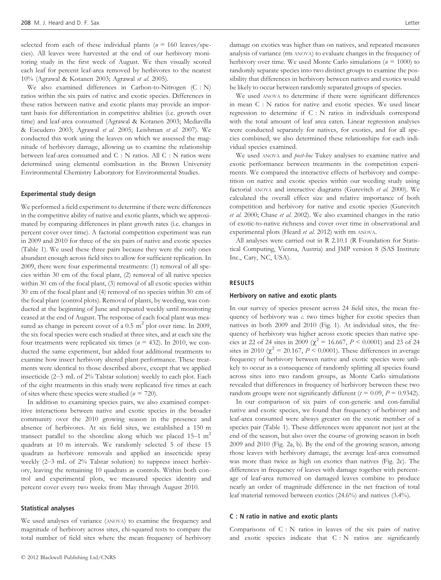selected from each of these individual plants ( $n = 160$  leaves/species). All leaves were harvested at the end of our herbivory monitoring study in the first week of August. We then visually scored each leaf for percent leaf-area removed by herbivores to the nearest 10% (Agrawal & Kotanen 2003; Agrawal et al. 2005).

We also examined differences in Carbon-to-Nitrogen (C : N) ratios within the six pairs of native and exotic species. Differences in these ratios between native and exotic plants may provide an important basis for differentiation in competitive abilities (i.e. growth over time) and leaf-area consumed (Agrawal & Kotanen 2003; Mediavilla & Escudero 2003; Agrawal et al. 2005; Leishman et al. 2007). We conducted this work using the leaves on which we assessed the magnitude of herbivory damage, allowing us to examine the relationship between leaf-area consumed and C : N ratios. All C : N ratios were determined using elemental combustion in the Brown University Environmental Chemistry Laboratory for Environmental Studies.

#### Experimental study design

We performed a field experiment to determine if there were differences in the competitive ability of native and exotic plants, which we approximated by comparing differences in plant growth rates (i.e. changes in percent cover over time). A factorial competition experiment was run in 2009 and 2010 for three of the six pairs of native and exotic species (Table 1). We used these three pairs because they were the only ones abundant enough across field sites to allow for sufficient replication. In 2009, there were four experimental treatments: (1) removal of all species within 30 cm of the focal plant, (2) removal of all native species within 30 cm of the focal plant, (3) removal of all exotic species within 30 cm of the focal plant and (4) removal of no species within 30 cm of the focal plant (control plots). Removal of plants, by weeding, was conducted at the beginning of June and repeated weekly until monitoring ceased at the end of August. The response of each focal plant was measured as change in percent cover of a  $0.5 \text{ m}^2$  plot over time. In 2009, the six focal species were each studied at three sites, and at each site the four treatments were replicated six times ( $n = 432$ ). In 2010, we conducted the same experiment, but added four additional treatments to examine how insect herbivory altered plant performance. These treatments were identical to those described above, except that we applied insecticide (2–3 mL of 2% Talstar solution) weekly to each plot. Each of the eight treatments in this study were replicated five times at each of sites where these species were studied ( $n = 720$ ).

In addition to examining species pairs, we also examined competitive interactions between native and exotic species in the broader community over the 2010 growing season in the presence and absence of herbivores. At six field sites, we established a 150 m transect parallel to the shoreline along which we placed  $15-1$  m<sup>2</sup> quadrats at 10 m intervals. We randomly selected 5 of these 15 quadrats as herbivore removals and applied an insecticide spray weekly (2–3 mL of 2% Talstar solution) to suppress insect herbivory, leaving the remaining 10 quadrats as controls. Within both control and experimental plots, we measured species identity and percent cover every two weeks from May through August 2010.

#### Statistical analyses

We used analyses of variance (ANOVA) to examine the frequency and magnitude of herbivory across sites, chi-squared tests to compare the total number of field sites where the mean frequency of herbivory

damage on exotics was higher than on natives, and repeated measures analysis of variance (rm ANOVA) to evaluate changes in the frequency of herbivory over time. We used Monte Carlo simulations ( $n = 1000$ ) to randomly separate species into two distinct groups to examine the possibility that differences in herbivory between natives and exotics would be likely to occur between randomly separated groups of species.

We used ANOVA to determine if there were significant differences in mean C : N ratios for native and exotic species. We used linear regression to determine if C : N ratios in individuals correspond with the total amount of leaf area eaten. Linear regression analyses were conducted separately for natives, for exotics, and for all species combined; we also determined these relationships for each individual species examined.

We used ANOVA and *post-hoc* Tukey analyses to examine native and exotic performance between treatments in the competition experiments. We compared the interactive effects of herbivory and competition on native and exotic species within our weeding study using factorial ANOVA and interactive diagrams (Gurevitch et al. 2000). We calculated the overall effect size and relative importance of both competition and herbivory for native and exotic species (Gurevitch et al. 2000; Chase et al. 2002). We also examined changes in the ratio of exotic-to-native richness and cover over time in observational and experimental plots (Heard et al. 2012) with rm ANOVA.

All analyses were carried out in R 2.10.1 (R Foundation for Statistical Computing, Vienna, Austria) and JMP version 8 (SAS Institute Inc., Cary, NC, USA).

### RESULTS

#### Herbivory on native and exotic plants

In our survey of species present across 24 field sites, the mean frequency of herbivory was c. two times higher for exotic species than natives in both 2009 and 2010 (Fig. 1). At individual sites, the frequency of herbivory was higher across exotic species than native species at 22 of 24 sites in 2009 ( $\chi^2$  = 16.667, P < 0.0001) and 23 of 24 sites in 2010 ( $\chi^2 = 20.167$ ,  $P \le 0.0001$ ). These differences in average frequency of herbivory between native and exotic species were unlikely to occur as a consequence of randomly splitting all species found across sites into two random groups, as Monte Carlo simulations revealed that differences in frequency of herbivory between these two random groups were not significantly different ( $t = 0.09$ ,  $P = 0.9342$ ).

In our comparison of six pairs of con-generic and con-familial native and exotic species, we found that frequency of herbivory and leaf-area consumed were always greater on the exotic member of a species pair (Table 1). These differences were apparent not just at the end of the season, but also over the course of growing season in both 2009 and 2010 (Fig. 2a, b). By the end of the growing season, among those leaves with herbivory damage, the average leaf-area consumed was more than twice as high on exotics than natives (Fig. 2c). The differences in frequency of leaves with damage together with percentage of leaf-area removed on damaged leaves combine to produce nearly an order of magnitude difference in the net fraction of total leaf material removed between exotics (24.6%) and natives (3.4%).

#### C : N ratio in native and exotic plants

Comparisons of C : N ratios in leaves of the six pairs of native and exotic species indicate that C : N ratios are significantly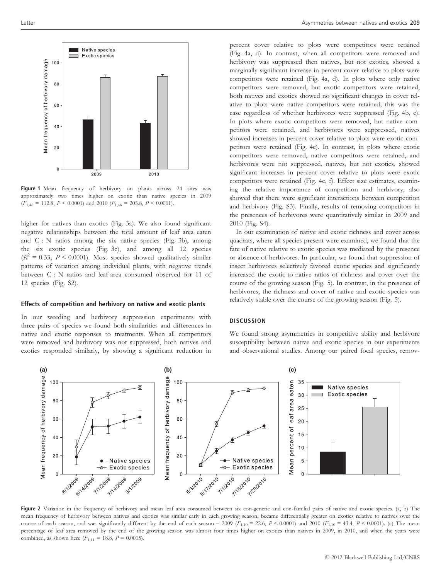

Figure 1 Mean frequency of herbivory on plants across 24 sites was approximately two times higher on exotic than native species in 2009  $(F_{1,46} = 112.8, P \le 0.0001)$  and 2010  $(F_{1,46} = 205.8, P \le 0.0001)$ .

higher for natives than exotics (Fig. 3a). We also found significant negative relationships between the total amount of leaf area eaten and C : N ratios among the six native species (Fig. 3b), among the six exotic species (Fig. 3c), and among all 12 species  $(R^2 = 0.33, P \le 0.0001)$ . Most species showed qualitatively similar patterns of variation among individual plants, with negative trends between C : N ratios and leaf-area consumed observed for 11 of 12 species (Fig. S2).

#### Effects of competition and herbivory on native and exotic plants

In our weeding and herbivory suppression experiments with three pairs of species we found both similarities and differences in native and exotic responses to treatments. When all competitors were removed and herbivory was not suppressed, both natives and exotics responded similarly, by showing a significant reduction in

percent cover relative to plots were competitors were retained (Fig. 4a, d). In contrast, when all competitors were removed and herbivory was suppressed then natives, but not exotics, showed a marginally significant increase in percent cover relative to plots were competitors were retained (Fig. 4a, d). In plots where only native competitors were removed, but exotic competitors were retained, both natives and exotics showed no significant changes in cover relative to plots were native competitors were retained; this was the case regardless of whether herbivores were suppressed (Fig. 4b, e). In plots where exotic competitors were removed, but native competitors were retained, and herbivores were suppressed, natives showed increases in percent cover relative to plots were exotic competitors were retained (Fig. 4c). In contrast, in plots where exotic competitors were removed, native competitors were retained, and herbivores were not suppressed, natives, but not exotics, showed significant increases in percent cover relative to plots were exotic competitors were retained (Fig. 4c, f). Effect size estimates, examining the relative importance of competition and herbivory, also showed that there were significant interactions between competition and herbivory (Fig. S3). Finally, results of removing competitors in the presences of herbivores were quantitatively similar in 2009 and 2010 (Fig. S4).

In our examination of native and exotic richness and cover across quadrats, where all species present were examined, we found that the fate of native relative to exotic species was mediated by the presence or absence of herbivores. In particular, we found that suppression of insect herbivores selectively favored exotic species and significantly increased the exotic-to-native ratios of richness and cover over the course of the growing season (Fig. 5). In contrast, in the presence of herbivores, the richness and cover of native and exotic species was relatively stable over the course of the growing season (Fig. 5).

#### **DISCUSSION**

We found strong asymmetries in competitive ability and herbivore susceptibility between native and exotic species in our experiments and observational studies. Among our paired focal species, remov-



Figure 2 Variation in the frequency of herbivory and mean leaf area consumed between six con-generic and con-familial pairs of native and exotic species. (a, b) The mean frequency of herbivory between natives and exotics was similar early in each growing season, became differentially greater on exotics relative to natives over the course of each season, and was significantly different by the end of each season – 2009 ( $F_{1,10}$  = 22.6,  $P < 0.0001$ ) and 2010 ( $F_{1,10}$  = 43.4,  $P < 0.0001$ ). (c) The mean percentage of leaf area removed by the end of the growing season was almost four times higher on exotics than natives in 2009, in 2010, and when the years were combined, as shown here  $(F_{1,11} = 18.8, P = 0.0015)$ .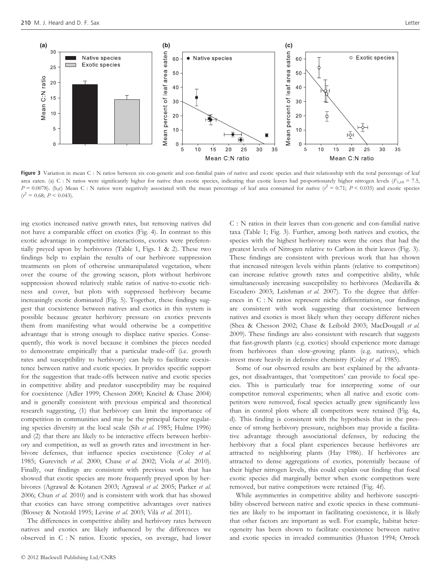

Figure 3 Variation in mean C : N ratios between six con-generic and con-familial pairs of native and exotic species and their relationship with the total percentage of leaf area eaten. (a) C : N ratios were significantly higher for native than exotic species, indicating that exotic leaves had proportionately higher nitrogen levels ( $F_{1,68} = 7.5$ ,  $P = 0.0078$ ). (b,c) Mean C : N ratios were negatively associated with the mean percentage of leaf area consumed for native  $(r^2 = 0.71; P \le 0.035)$  and exotic species  $(r^2 = 0.68; P < 0.043).$ 

ing exotics increased native growth rates, but removing natives did not have a comparable effect on exotics (Fig. 4). In contrast to this exotic advantage in competitive interactions, exotics were preferentially preyed upon by herbivores (Table 1, Figs. 1 & 2). These two findings help to explain the results of our herbivore suppression treatments on plots of otherwise unmanipulated vegetation, where over the course of the growing season, plots without herbivore suppression showed relatively stable ratios of native-to-exotic richness and cover, but plots with suppressed herbivory became increasingly exotic dominated (Fig. 5). Together, these findings suggest that coexistence between natives and exotics in this system is possible because greater herbivory pressure on exotics prevents them from manifesting what would otherwise be a competitive advantage that is strong enough to displace native species. Consequently, this work is novel because it combines the pieces needed to demonstrate empirically that a particular trade-off (i.e. growth rates and susceptibility to herbivory) can help to facilitate coexistence between native and exotic species. It provides specific support for the suggestion that trade-offs between native and exotic species in competitive ability and predator susceptibility may be required for coexistence (Adler 1999; Chesson 2000; Kneitel & Chase 2004) and is generally consistent with previous empirical and theoretical research suggesting, (1) that herbivory can limit the importance of competition in communities and may be the principal factor regulating species diversity at the local scale (Sih et al. 1985; Hulme 1996) and (2) that there are likely to be interactive effects between herbivory and competition, as well as growth rates and investment in herbivore defenses, that influence species coexistence (Coley et al. 1985; Gurevitch et al. 2000; Chase et al. 2002; Viola et al. 2010). Finally, our findings are consistent with previous work that has showed that exotic species are more frequently preyed upon by herbivores (Agrawal & Kotanen 2003; Agrawal et al. 2005; Parker et al. 2006; Chun et al. 2010) and is consistent with work that has showed that exotics can have strong competitive advantages over natives (Blossey & Notzold 1995; Levine et al. 2003; Vilà et al. 2011).

The differences in competitive ability and herbivory rates between natives and exotics are likely influenced by the differences we observed in C : N ratios. Exotic species, on average, had lower

C : N ratios in their leaves than con-generic and con-familial native taxa (Table 1; Fig. 3). Further, among both natives and exotics, the species with the highest herbivory rates were the ones that had the greatest levels of Nitrogen relative to Carbon in their leaves (Fig. 3). These findings are consistent with previous work that has shown that increased nitrogen levels within plants (relative to competitors) can increase relative growth rates and competitive ability, while simultaneously increasing susceptibility to herbivores (Mediavilla & Escudero 2003; Leishman et al. 2007). To the degree that differences in C : N ratios represent niche differentiation, our findings are consistent with work suggesting that coexistence between natives and exotics is most likely when they occupy different niches (Shea & Chesson 2002; Chase & Leibold 2003; MacDougall et al. 2009). These findings are also consistent with research that suggests that fast-growth plants (e.g. exotics) should experience more damage from herbivores than slow-growing plants (e.g. natives), which invest more heavily in defensive chemistry (Coley et al. 1985).

Some of our observed results are best explained by the advantages, not disadvantages, that 'competitors' can provide to focal species. This is particularly true for interpreting some of our competitor removal experiments; when all native and exotic competitors were removed, focal species actually grew significantly less than in control plots where all competitors were retained (Fig. 4a, d). This finding is consistent with the hypothesis that in the presence of strong herbivory pressure, neighbors may provide a facilitative advantage through associational defenses, by reducing the herbivory that a focal plant experiences because herbivores are attracted to neighboring plants (Hay 1986). If herbivores are attracted to dense aggregations of exotics, potentially because of their higher nitrogen levels, this could explain our finding that focal exotic species did marginally better when exotic competitors were removed, but native competitors were retained (Fig. 4f).

While asymmetries in competitive ability and herbivore susceptibility observed between native and exotic species in these communities are likely to be important in facilitating coexistence, it is likely that other factors are important as well. For example, habitat heterogeneity has been shown to facilitate coexistence between native and exotic species in invaded communities (Huston 1994; Orrock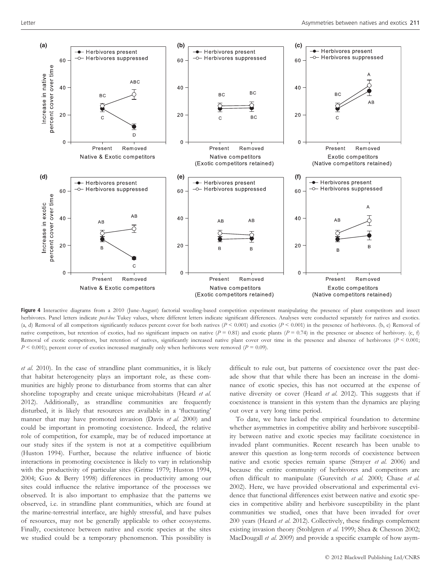

Figure 4 Interactive diagrams from a 2010 (June-August) factorial weeding-based competition experiment manipulating the presence of plant competitors and insect herbivores. Panel letters indicate post-hoc Tukey values, where different letters indicate significant differences. Analyses were conducted separately for natives and exotics. (a, d) Removal of all competitors significantly reduces percent cover for both natives ( $P < 0.001$ ) and exotics ( $P < 0.001$ ) in the presence of herbivores. (b, e) Removal of native competitors, but retention of exotics, had no significant impacts on native ( $P = 0.81$ ) and exotic plants ( $P = 0.74$ ) in the presence or absence of herbivory. (c, f) Removal of exotic competitors, but retention of natives, significantly increased native plant cover over time in the presence and absence of herbivores ( $P \le 0.001$ ;  $P < 0.001$ ); percent cover of exotics increased marginally only when herbivores were removed ( $P = 0.09$ ).

et al. 2010). In the case of strandline plant communities, it is likely that habitat heterogeneity plays an important role, as these communities are highly prone to disturbance from storms that can alter shoreline topography and create unique microhabitats (Heard et al. 2012). Additionally, as strandline communities are frequently disturbed, it is likely that resources are available in a 'fluctuating' manner that may have promoted invasion (Davis et al. 2000) and could be important in promoting coexistence. Indeed, the relative role of competition, for example, may be of reduced importance at our study sites if the system is not at a competitive equilibrium (Huston 1994). Further, because the relative influence of biotic interactions in promoting coexistence is likely to vary in relationship with the productivity of particular sites (Grime 1979; Huston 1994, 2004; Guo & Berry 1998) differences in productivity among our sites could influence the relative importance of the processes we observed. It is also important to emphasize that the patterns we observed, i.e. in strandline plant communities, which are found at the marine-terrestrial interface, are highly stressful, and have pulses of resources, may not be generally applicable to other ecosystems. Finally, coexistence between native and exotic species at the sites we studied could be a temporary phenomenon. This possibility is

difficult to rule out, but patterns of coexistence over the past decade show that that while there has been an increase in the dominance of exotic species, this has not occurred at the expense of native diversity or cover (Heard et al. 2012). This suggests that if coexistence is transient in this system than the dynamics are playing out over a very long time period.

To date, we have lacked the empirical foundation to determine whether asymmetries in competitive ability and herbivore susceptibility between native and exotic species may facilitate coexistence in invaded plant communities. Recent research has been unable to answer this question as long-term records of coexistence between native and exotic species remain sparse (Strayer et al. 2006) and because the entire community of herbivores and competitors are often difficult to manipulate (Gurevitch et al. 2000; Chase et al. 2002). Here, we have provided observational and experimental evidence that functional differences exist between native and exotic species in competitive ability and herbivore susceptibility in the plant communities we studied, ones that have been invaded for over 200 years (Heard et al. 2012). Collectively, these findings complement existing invasion theory (Stohlgren et al. 1999; Shea & Chesson 2002; MacDougall et al. 2009) and provide a specific example of how asym-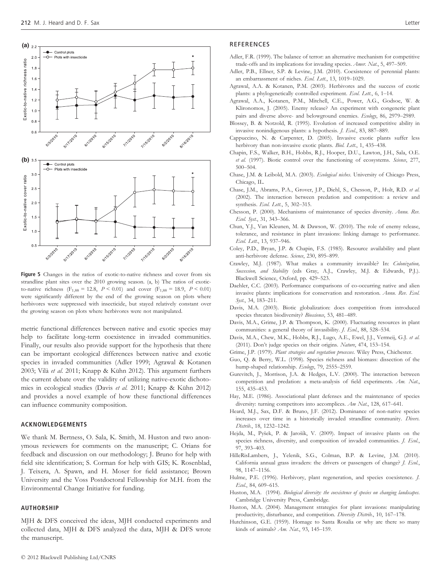

Figure 5 Changes in the ratios of exotic-to-native richness and cover from six strandline plant sites over the 2010 growing season. (a, b) The ratios of exoticto-native richness (F<sub>1,88</sub> = 12.8,  $P < 0.01$ ) and cover (F<sub>1,88</sub> = 18.9,  $P < 0.01$ ) were significantly different by the end of the growing season on plots where herbivores were suppressed with insecticide, but stayed relatively constant over the growing season on plots where herbivores were not manipulated.

metric functional differences between native and exotic species may help to facilitate long-term coexistence in invaded communities. Finally, our results also provide support for the hypothesis that there can be important ecological differences between native and exotic species in invaded communities (Adler 1999; Agrawal & Kotanen 2003; Vilà et al. 2011; Knapp & Kühn 2012). This argument furthers the current debate over the validity of utilizing native-exotic dichotomies in ecological studies (Davis et al. 2011; Knapp & Kühn 2012) and provides a novel example of how these functional differences can influence community composition.

# ACKNOWLEDGEMENTS

We thank M. Bertness, O. Sala, K. Smith, M. Huston and two anonymous reviewers for comments on the manuscript; C. Orians for feedback and discussion on our methodology; J. Bruno for help with field site identification; S. Corman for help with GIS; K. Rosenblad, J. Teixera, A. Spawn, and H. Moser for field assistance; Brown University and the Voss Postdoctoral Fellowship for M.H. from the Environmental Change Initiative for funding.

#### AUTHORSHIP

MJH & DFS conceived the ideas, MJH conducted experiments and collected data, MJH & DFS analyzed the data, MJH & DFS wrote the manuscript.

- Adler, F.R. (1999). The balance of terror: an alternative mechanism for competitive trade-offs and its implications for invading species. Amer. Nat., 5, 497–509.
- Adler, P.B., Ellner, S.P. & Levine, J.M. (2010). Coexistence of perennial plants: an embarrassment of niches. Ecol. Lett., 13, 1019-1029.
- Agrawal, A.A. & Kotanen, P.M. (2003). Herbivores and the success of exotic plants: a phylogenetically controlled experiment. Ecol. Lett., 6, 1-14.
- Agrawal, A.A., Kotanen, P.M., Mitchell, C.E., Power, A.G., Godsoe, W. & Klironomos, J. (2005). Enemy release? An experiment with congeneric plant pairs and diverse above- and belowground enemies. Ecology, 86, 2979-2989.
- Blossey, B. & Notzold, R. (1995). Evolution of increased competitive ability in invasive nonindigenous plants: a hypothesis. *J. Ecol.*, 83, 887–889.
- Cappuccino, N. & Carpenter, D. (2005). Invasive exotic plants suffer less herbivory than non-invasive exotic plants. Biol. Lett., 1, 435-438.
- Chapin, F.S., Walker, B.H., Hobbs, R.J., Hooper, D.U., Lawton, J.H., Sala, O.E. et al. (1997). Biotic control over the functioning of ecosystems. Science, 277, 500–504.
- Chase, J.M. & Leibold, M.A. (2003). Ecological niches. University of Chicago Press, Chicago, IL.
- Chase, J.M., Abrams, P.A., Grover, J.P., Diehl, S., Chesson, P., Holt, R.D. et al. (2002). The interaction between predation and competition: a review and synthesis. Ecol. Lett., 5, 302-315.
- Chesson, P. (2000). Mechanisms of maintenance of species diversity. Annu. Rev. Ecol. Syst., 31, 343–366.
- Chun, Y.J., Van Kleunen, M. & Dawson, W. (2010). The role of enemy release, tolerance, and resistance in plant invasions: linking damage to performance. Ecol. Lett., 13, 937–946.
- Coley, P.D., Bryan, J.P. & Chapin, F.S. (1985). Resource availability and plant anti-herbivore defense. Science, 230, 895–899.
- Crawley, M.J. (1987). What makes a community invasible? In: Colonization, Succession, and Stability (eds Gray, A.J., Crawley, M.J. & Edwards, P.J.). Blackwell Science, Oxford, pp. 429–523.
- Daehler, C.C. (2003). Performance comparisons of co-occurring native and alien invasive plants: implications for conservation and restoration. Annu. Rev. Ecol. Syst., 34, 183–211.
- Davis, M.A. (2003). Biotic globalization: does competition from introduced species threaten biodiversity? Bioscience, 53, 481-489.
- Davis, M.A., Grime, J.P. & Thompson, K. (2000). Fluctuating resources in plant communities: a general theory of invasibility. *J. Ecol.*, 88, 528–534.
- Davis, M.A., Chew, M.K., Hobbs, R.J., Lugo, A.E., Ewel, J.J., Vermeij, G.J. et al. (2011). Don't judge species on their origins. Nature, 474, 153–154.
- Grime, J.P. (1979). Plant strategies and vegetation processes. Wiley Press, Chichester.
- Guo, Q. & Berry, W.L. (1998). Species richness and biomass: dissection of the hump-shaped relationship. Ecology, 79, 2555–2559.
- Gurevitch, J., Morrison, J.A. & Hedges, L.V. (2000). The interaction between competition and predation: a meta-analysis of field experiments. Am. Nat., 155, 435–453.
- Hay, M.E. (1986). Associational plant defenses and the maintenance of species diversity: turning competitors into accomplices. Am Nat., 128, 617-641.
- Heard, M.J., Sax, D.F. & Bruno, J.F. (2012). Dominance of non-native species increases over time in a historically invaded strandline community. Divers. Distrib., 18, 1232–1242.
- Hejda, M., Pyšek, P. & Jarošík, V. (2009). Impact of invasive plants on the species richness, diversity, and composition of invaded communities. J. Ecol., 97, 393–403.
- HilleRisLambers, J., Yelenik, S.G., Colman, B.P. & Levine, J.M. (2010). California annual grass invaders: the drivers or passengers of change? J. Ecol., 98, 1147–1156.
- Hulme, P.E. (1996). Herbivory, plant regeneration, and species coexistence. J. Ecol., 84, 609–615.
- Huston, M.A. (1994). Biological diversity: the coexistence of species on changing landscapes. Cambridge University Press, Cambridge.
- Huston, M.A. (2004). Management strategies for plant invasions: manipulating productivity, disturbance, and competition. Diversity Distrib., 10, 167-178.
- Hutchinson, G.E. (1959). Homage to Santa Rosalia or why are there so many kinds of animals? Am. Nat., 93, 145–159.